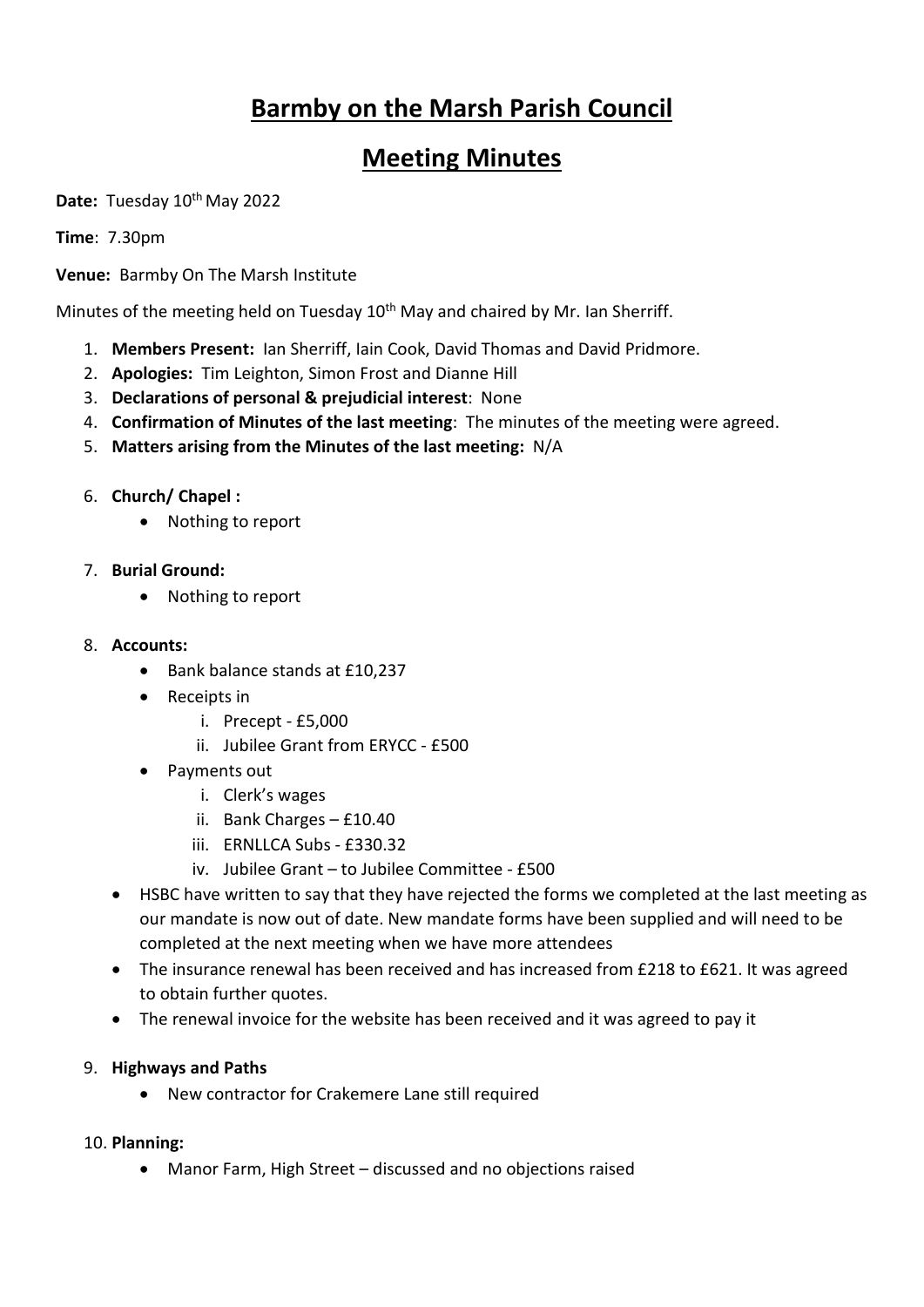# **Barmby on the Marsh Parish Council**

# **Meeting Minutes**

Date: Tuesday 10<sup>th</sup> May 2022

**Time**: 7.30pm

**Venue:** Barmby On The Marsh Institute

Minutes of the meeting held on Tuesday 10<sup>th</sup> May and chaired by Mr. Ian Sherriff.

- 1. **Members Present:** Ian Sherriff, Iain Cook, David Thomas and David Pridmore.
- 2. **Apologies:** Tim Leighton, Simon Frost and Dianne Hill
- 3. **Declarations of personal & prejudicial interest**: None
- 4. **Confirmation of Minutes of the last meeting**: The minutes of the meeting were agreed.
- 5. **Matters arising from the Minutes of the last meeting:** N/A
- 6. **Church/ Chapel :**
	- Nothing to report
- 7. **Burial Ground:** 
	- Nothing to report
- 8. **Accounts:** 
	- Bank balance stands at £10,237
	- Receipts in
		- i. Precept £5,000
		- ii. Jubilee Grant from ERYCC £500
	- Payments out
		- i. Clerk's wages
		- ii. Bank Charges £10.40
		- iii. ERNLLCA Subs £330.32
		- iv. Jubilee Grant to Jubilee Committee £500
	- HSBC have written to say that they have rejected the forms we completed at the last meeting as our mandate is now out of date. New mandate forms have been supplied and will need to be completed at the next meeting when we have more attendees
	- The insurance renewal has been received and has increased from £218 to £621. It was agreed to obtain further quotes.
	- The renewal invoice for the website has been received and it was agreed to pay it

#### 9. **Highways and Paths**

• New contractor for Crakemere Lane still required

#### 10. **Planning:**

• Manor Farm, High Street – discussed and no objections raised